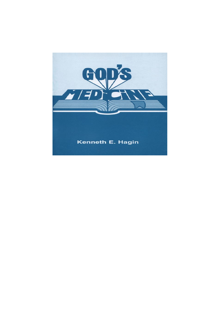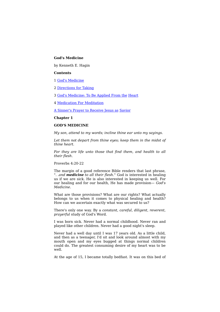# **God's Medicine**

by Kenneth E. Hagin

# **Contents**

- 1 God's Medicine
- 2 Directions for Taking
- 3 God's Medicine: To Be Applied From the Heart
- 4 Medication For Meditation

A Sinner's Prayer to Receive Jesus as Savior

#### **Chapter 1**

# **GOD'S MEDICINE**

*My son, attend to my words; incline thine ear unto my sayings.*

*Let them not depart from thine eyes; keep them in the midst of thine heart.*

*For they are life unto those that find them, and health to all their flesh.*

Proverbs 4:20-22

The margin of a good reference Bible renders that last phrase, *". .and medicine to all their flesh."* God is interested in healing us if we are sick. He is also interested in keeping us well. For our healing and for our health, He has made provision— *God's Medicine.*

What are those provisions? What are our rights? What actually belongs to us when it comes to physical healing and health? How can we ascertain exactly what was secured to us?

There's only one way. By a *constant, careful, diligent, reverent, prayerful* study of God's Word.

I was born sick. Never had a normal childhood. Never ran and played like other children. Never had a good night's sleep.

Never had a well day until I was 17 years old. As a little child, and then as a teenager, I'd sit and look around almost with my mouth open and my eyes bugged at things normal children could do. The greatest consuming desire of my heart was to be well.

At the age of 15, I became totally bedfast. It was on this bed of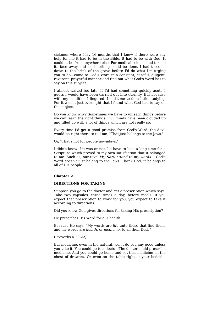sickness where I lay 16 months that I knew if there were any help for me it had to be in the Bible. It had to be with God. It couldn't be from anywhere else. For medical science had turned its face away and said nothing could be done. I had to come down to the brink of the grave before I'd do what I'm urging you to do—come to God's Word in a constant, careful, diligent, reverent, prayerful manner and find out what God's Word has to say on this subject.

I almost waited too late. If I'd had something quickly acute I guess I would have been carried out into eternity. But because with my condition I lingered, I had time to do a little studying. For it wasn't just overnight that I found what God had to say on the subject.

Do you know why? Sometimes we have to unlearn things before we can learn the right things. Our minds have been clouded up and filled up with a lot of things which are not really so.

Every time I'd get a good promise from God's Word, the devil would be right there to tell me, "That just belongs to the Jews."

Or, "That's not for people nowadays."

I didn't know if it was or not. I'd have to look a long time for a Scripture which proved to my own satisfaction that it belonged to me. Such as, our text: *My Son, attend to my words. .* God's Word doesn't just belong to the Jews. Thank God, it belongs to all of His people.

## **Chapter 2**

# **DIRECTIONS FOR TAKING**

Suppose you go to the doctor and get a prescription which says: Take two capsules, three times a day, before meals. If you expect that prescription to work for you, you expect to take it according to directions.

Did you know God gives directions for taking His prescription?

He prescribes His Word for our health.

Because He says, "My words are *life* unto those that find them, and my words are *health,* or *medicine,* to all their flesh"

## (Proverbs 4:20-22).

But medicine, even in the natural, won't do you any good unless you take it. You could go to a doctor. The doctor could prescribe medicine. And you could go home and set that medicine on the chest of drawers. Or even on the table right at your bedside.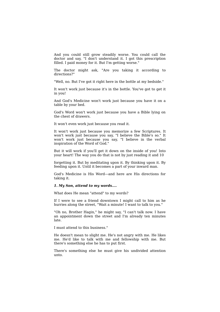And you could still grow steadily worse. You could call the doctor and say, "I don't understand it. I got this prescription filled. I paid money for it. But I'm getting worse."

The doctor might ask, "Are you taking it according to directions?"

"Well, no. But I've got it right here in the bottle at my bedside."

It won't work just because it's in the bottle. You've got to get it in you!

And God's Medicine won't work just because you have it on a table by your bed.

God's Word won't work just because you have a Bible lying on the chest of drawers.

It won't even work just because you read it.

It won't work just because you memorize a few Scriptures. It won't work just because you say, "I believe the Bible's so." It won't work just because you say, "I believe in the verbal inspiration of the Word of God."

But it will work if you'll get it down on the inside of you! Into your heart! The way you do that is not by just reading it and 10

forgetting it. But by meditating upon it. By thinking upon it. By feeding upon it. Until it becomes a part of your inward man.

God's Medicine is His Word—and here are His directions for taking it.

#### *1. My Son, attend to my words....*

What does He mean "attend" to my words?

If I were to see a friend downtown I might call to him as he hurries along the street, "Wait a minute! I want to talk to you."

"Oh no, Brother Hagin," he might say, "I can't talk now. I have an appointment down the street and I'm already ten minutes late.

I must attend to this business."

He doesn't mean to slight me. He's not angry with me. He likes me. He'd like to talk with me and fellowship with me. But there's something else he has to put first.

There's something else he must give his undivided attention unto.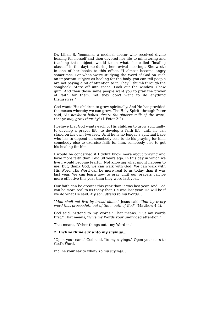Dr. Lilian B. Yeoman's, a medical doctor who received divine healing for herself and then devoted her life to ministering and teaching this subject, would teach what she called "healing classes" in the daytime during her revival meetings. She wrote in one of her books to this effect, "I almost become angry sometimes. For when we're studying the Word of God on such an important subject as healing for the body, you can tell people are not paying a bit of attention to it. They'll thumb through the songbook. Stare off into space. Look out the window. Chew gum. And then those same people want you to pray the prayer of faith for them. Yet they don't want to do anything themselves."

God wants His children to grow spiritually. And He has provided the means whereby we can grow. The Holy Spirit, through Peter said, *"As newborn babes, desire the sincere milk of the word, that ye may grow thereby"* (1 Peter 2:2).

I believe that God wants each of His children to grow spiritually, to develop a prayer life, to develop a faith life, until he can stand on his own two feet. Until he is no longer a spiritual babe who has to depend on somebody else to do his praying for him, somebody else to exercise faith for him, somebody else to get his healing for him.

I would be concerned if I didn't know more about praying and have more faith than I did 30 years ago. In this day in which we live I would become fearful. Not knowing what might happen to me. But, thank God, we can walk with God. We can walk with His Word. His Word can be more real to us today than it was last year. We can learn how to pray until our prayers can be more effective this year than they were last year.

Our faith can be greater this year than it was last year. And God can be more real to us today than He was last year. He will be if we do what He said. *My son, attend to my Words. .*

*"Man shall not live by bread alone,"* Jesus said, *"but by every word that proceedeth out of the mouth of God"* (Matthew 4:4).

God said, "Attend to my Words." That means, "Put my Words first." That means, "Give my Words your undivided attention."

That means, "Other things out—my Word in."

#### *2. Incline thine ear unto my sayings...*

"Open your ears," God said, "to my sayings." Open your ears to God's Word.

Incline your ear to what? *To my sayings. .*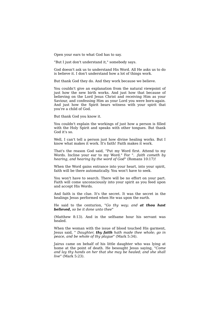Open your ears to what God has to say.

"But I just don't understand it," somebody says.

God doesn't ask us to understand His Word. All He asks us to do is believe it. I don't understand how a lot of things work.

But thank God they do. And they work because we believe.

You couldn't give an explanation from the natural viewpoint of just how the new birth works. And just how that because of believing on the Lord Jesus Christ and receiving Him as your Saviour, and confessing Him as your Lord you were born-again. And just how the Spirit bears witness with your spirit that you're a child of God.

But thank God you know it.

You couldn't explain the workings of just how a person is filled with the Holy Spirit and speaks with other tongues. But thank God it's so.

Well, I can't tell a person just how divine healing works. But I know what makes it work. It's faith! Faith makes it work.

That's the reason God said, "Put my Word first. Attend to my Words. Incline your ear to my Word." For *". .faith cometh by hearing, and hearing by the word of God"* (Romans 10:17)!

When the Word gains entrance into your heart, into your spirit, faith will be there automatically. You won't have to seek.

You won't have to search. There will be no effort on your part. Faith will come unconsciously into your spirit as you feed upon and accept His Words.

And faith is the clue. It's the secret. It was the secret in the healings Jesus performed when He was upon the earth.

He said to the centurion, *"Go thy way; and at thou hast believed, so be it done unto thee"*

(Matthew 8:13). And in the selfsame hour his servant was healed.

When the woman with the issue of blood touched His garment, Jesus said, " *Daughter, thy faith hath made thee whole; go in peace, and be whole of thy plague"* (Mark 5:34).

Jairus came on behalf of his little daughter who was lying at home at the point of death. He besought Jesus saying, *"Come and lay thy hands on her that she may be healed; and she shall live"* (Mark 5:23).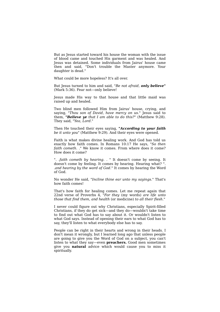But as Jesus started toward his house the woman with the issue of blood came and touched His garment and was healed. And Jesus was detained. Some individuals from Jairus' house came then and said, "Don't trouble the Master anymore. Your daughter is dead."

What could be more hopeless? It's all over.

But Jesus turned to him and said, *"Be not afraid, only believe"* (Mark 5:36). Fear not—only believe!

Jesus made His way to that house and that little maid was raised up and healed.

Two blind men followed Him from Jairus' house, crying, and saying, *"Thou son of David, have mercy on us."* Jesus said to them, *"Believe ye that I am able to do this?"* (Matthew 9:28). They said, *"Yea, Lord."*

Then He touched their eyes saying, *"According to your faith be it unto you"* (Matthew 9:29). And their eyes were opened.

Faith is what makes divine healing work. And God has told us exactly how faith comes. In Romans 10:17 He says, *"So then faith cometh. ."* We know it comes. From where does it come? How does it come?

*". .faith cometh by hearing. . "* It doesn't come by seeing. It doesn't come by feeling. It comes by hearing. Hearing what? *". .and hearing by the word of God."* It comes by hearing the Word of God.

No wonder He said, *"Incline thine ear unto my sayings."* That's how faith comes!

That's how faith for healing comes. Let me repeat again that 22nd verse of Proverbs 4, *"For they* (my words) *are life unto those that find them, and health* (or medicine) *to all their flesh."*

I never could figure out why Christians, especially Spirit-filled Christians, if they do get sick—and they do—wouldn't take time to find out what God has to say about it. Or wouldn't listen to what God says. Instead of opening their ears to what God has to say, they'll listen to what everybody else has to say.

People can be right in their hearts and wrong in their heads. I don't mean it wrongly, but I learned long ago that unless people are going to give you the Word of God on a subject, you can't listen to what they say—even **preachers.** Good men sometimes give you **natural** advice which would cause you to miss it spiritually.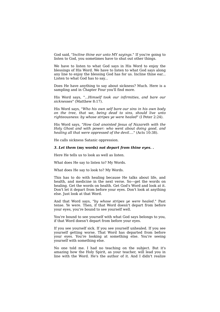God said, *"Incline thine ear unto MY sayings."* If you're going to listen to God, you sometimes have to shut out other things.

We have to listen to what God says in His Word to enjoy the blessings of His Word. We have to listen to what God says along any line to enjoy the blessing God has for us. Incline thine ear... Listen to what God has to say...

Does He have anything to say about sickness? Much. Here is a sampling and in Chapter Four you'll find more.

His Word says, *"...Himself took our infirmities, and bare our sicknesses"* (Matthew 8:17).

His Word says, *"Who his own self bare our sins in his own body on the tree, that we, being dead to sins, should live unto righteousness: by whose stripes ye were healed"* (I Peter 2:24).

His Word says, *"How God anointed Jesus of Nazareth with the Holy Ghost and with power: who went about doing good, and healing all that were oppressed of the devil...."* (Acts 10:38).

He calls sickness Satanic oppression.

## *3. Let them* **(my words)** *not depart from thine eyes. .*

Here He tells us to look as well as listen.

What does He say to listen to? My Words.

What does He say to look to? My Words.

This has to do with healing because He talks about life, and health, and medicine in the next verse. So—get the words on healing. Get the words on health. Get God's Word and look at it. Don't let it depart from before your eyes. Don't look at anything else. Just look at that Word.

And that Word says, *"by whose stripes ye were healed."* Past tense. Ye were. Then, if that Word doesn't depart from before your eyes, you're bound to see yourself well.

You're bound to see yourself with what God says belongs to you, if that Word doesn't depart from before your eyes.

If you see yourself sick. If you see yourself unhealed. If you see yourself getting worse. That Word has departed from before your eyes. You're looking at something else. You're seeing yourself with something else.

No one told me. I had no teaching on the subject. But it's amazing how the Holy Spirit, as your teacher, will lead you in line with the Word. He's the author of it. And I didn't realize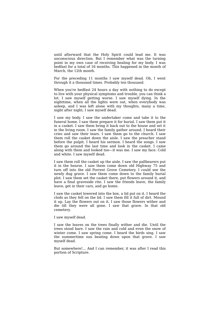until afterward that the Holy Spirit could lead me. It was unconscious direction. But I remember what was the turning point in my own case of receiving healing for my body. I was bedfast for a total of 16 months. This happened in the month of March, the 12th month.

For the preceding 11 months I saw myself dead. Oh, I went through it a thousand times. Probably ten thousand.

When you're bedfast 24 hours a day with nothing to do except to live with your physical symptoms and trouble, you can think a lot. I saw myself getting worse. I saw myself dying. In the nighttime, when all the lights were out, when everybody was asleep, and I was left alone with my thoughts, many a time, night after night, I saw myself dead.

I saw my body. I saw the undertaker come and take it to the funeral home. I saw them prepare it for burial. I saw them put it in a casket. I saw them bring it back out to the house and set it in the living room. I saw the family gather around. I heard their cries and saw their tears. I saw them go to the church. I saw them roll the casket down the aisle. I saw the preacher stand before the pulpit. I heard his sermon. I heard the songs. I saw them go around the last time and look in the casket. I came along with them and looked too—it was me. I saw my face. Cold and white. I saw myself dead.

I saw them roll the casket up the aisle. I saw the pallbearers put it in the hearse. I saw them come down old Highway 75 and turn off into the old Forrest Grove Cemetery. I could see the newly dug grave. I saw them come down to the family burial plot. I saw them set the casket there, put flowers around it, and have a final graveside rite. I saw the friends leave, the family leave, get in their cars, and go home.

I saw the casket lowered into the box, a lid put on it. I heard the clods as they fell on the lid. I saw them fill it full of dirt. Mound it up. Lay the flowers out on it. I saw those flowers wither and die till they were all gone. I saw that grave. In that old cemetery.

I saw myself dead.

I saw the leaves on the trees finally wither and die. Until the trees stood bare. I saw the rain and cold and even the snow of winter come. I saw spring come. I heard the birds sing. I saw the summertime sun beating down upon that grave. I saw myself dead.

But somewhere!... And I can remember, it was after I read this portion of Scripture.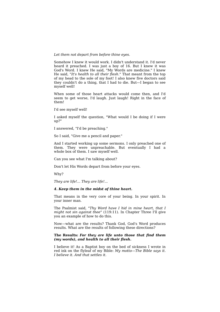*Let them not depart from before thine eyes.*

Somehow I knew it would work. I didn't understand it. I'd never heard it preached. I was just a boy of 16. But I knew it was God's Word. I knew He said, "My Words are medicine." I knew He said, *"It's health to all their flesh."* That meant from the top of my head to the sole of my foot! I also knew five doctors said they couldn't do a thing, that I had to die. But—I began to see myself well!

When some of those heart attacks would come then, and I'd seem to get worse, I'd laugh. Just laugh! Right in the face of them!

I'd see myself well!

I asked myself the question, "What would I be doing if I were up?"

I answered, "I'd be preaching."

So I said, "Give me a pencil and paper."

And I started working up some sermons. I only preached one of them. They were unpreachable. But eventually I had a whole box of them. I saw myself well.

Can you see what I'm talking about?

Don't let His Words depart from before your eyes.

Why?

*They are life!... They are life!...*

# *4. Keep them in the midst of thine heart.*

That means in the very core of your being. In your spirit. In your inner man.

The Psalmist said, *"Thy Word have I hid in mine heart, that I might not sin against thee"* (119:11). In Chapter Three I'll give you an example of how to do this.

Now—what are the results? Thank God, God's Word produces results. What are the results of following these directions?

# **The Results:** *For they are life unto those that find them (my words), and health to all their flesh.*

I believe it! As a Baptist boy on the bed of sickness I wrote in red ink on the flyleaf of my Bible: *My motto—The Bible says it. I believe it. And that settles it.*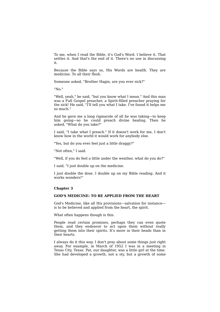To me, when I read the Bible, it's God's Word. I believe it. That settles it. And that's the end of it. There's no use in discussing it.

Because the Bible says so, His Words are health. They are medicine. To all their flesh.

Someone asked, "Brother Hagin, are you ever sick?"

"No."

"Well, yeah," he said, "but you know what I mean." And this man was a Full Gospel preacher, a Spirit-filled preacher praying for the sick! He said, "I'll tell you what I take. I've found it helps me so much."

And he gave me a long rigmarole of all he was taking—to keep him going—so he could preach divine healing. Then he asked, "What do you take?"

I said, "I take what I preach." If it doesn't work for me, I don't know how in the world it would work for anybody else.

"Yes, but do you ever feel just a little draggy?"

"Not often," I said.

"Well, if you do feel a little under the weather, what do you do?"

I said, "I just double up on the medicine.

I just double the dose. I double up on my Bible reading. And it works wonders!"

## **Chapter 3**

## **GOD'S MEDICINE: TO BE APPLIED FROM THE HEART**

God's Medicine, like all His provisions—salvation for instance is to be believed and applied from the heart, the spirit.

What often happens though is this.

People read certain promises, perhaps they can even quote them, and they endeavor to act upon them without really getting them into their spirits. It's more in their heads than in their hearts.

I always do it this way. I don't pray about some things just right away. For example, in March of 1952 I was in a meeting in Texas City, Texas. Pat, our daughter, was a little girl at the time. She had developed a growth, not a sty, but a growth of some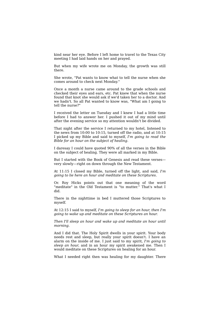kind near her eye. Before I left home to travel to the Texas City meeting I had laid hands on her and prayed.

But when my wife wrote me on Monday, the growth was still there.

She wrote, "Pat wants to know what to tell the nurse when she comes around to check next Monday."

Once a month a nurse came around to the grade schools and checked their eyes and ears, etc. Pat knew that when the nurse found that knot she would ask if we'd taken her to a doctor. And we hadn't. So all Pat wanted to know was, "What am I going to tell the nurse?"

I received the letter on Tuesday and I knew I had a little time before I had to answer her. I pushed it out of my mind until after the evening service so my attention wouldn't be divided.

That night after the service I returned to my hotel, listened to the news from 10:00 to 10:15, turned off the radio, and at 10:15 I picked up my Bible and said to myself, *I'm going to read the Bible for an hour on the subject of healing.*

I daresay I could have quoted 90% of all the verses in the Bible on the subject of healing. They were all marked in my Bible.

But I started with the Book of Genesis and read these verses very slowly—right on down through the New Testament.

At 11:15 I closed my Bible, turned off the light, and said, *I'm going to lie here an hour and meditate on these Scriptures.*

Or. Roy Hicks points out that one meaning of the word "meditate" in the Old Testament is "to mutter." That's what I did.

There in the nighttime in bed I muttered those Scriptures to myself.

At 12:15 I said to myself, *I'm going to sleep for an hour, then I'm going to wake up and meditate on these Scriptures an hour.*

*Then I'll sleep an hour and wake up and meditate an hour until morning.*

And I did that. The Holy Spirit dwells in your spirit. Your body needs rest and sleep, but really your spirit doesn't. I have an alarm on the inside of me. I just said to my spirit, *I'm going to sleep an hour,* and in an hour my spirit awakened me. Then I would meditate on these Scriptures on healing for an hour.

What I needed right then was healing for my daughter. There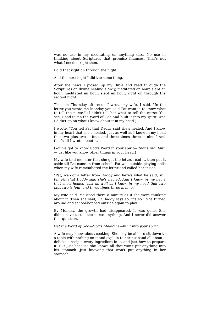was no use in my meditating on anything else. No use in thinking about Scriptures that promise finances. That's not what I needed right then.

I did that right on through the night.

And the next night I did the same thing.

After the news I picked up my Bible and read through the Scriptures on divine healing slowly, meditated an hour, slept an hour, meditated an hour, slept an hour, right on through the second night.

Then on Thursday afternoon I wrote my wife. I said, "In the letter you wrote me Monday you said Pat wanted to know what to tell the nurse." (I didn't tell her what to tell the nurse. You see, I had taken the Word of God and built it into my spirit. And I didn't go on what I knew about it in my head.)

I wrote, "You tell Pat that Daddy said she's healed. And I know in my heart that she's healed, just as well as I know in my head that two plus two is four, and three times three is nine." And that's all I wrote about it.

(You've got to know God's Word in your spirit— *that's real faith* —just like you know other things in your head.)

My wife told me later that she got the letter, read it, then put it aside till Pat came in from school. Pat was outside playing dolls when my wife remembered the letter and called her inside.

"Pat, we got a letter from Daddy and here's what he said, *You tell Pat that Daddy said she's healed. And I know in my heart that she's healed, just as well as I know in my head that two plus two is four, and three times three is nine."*

My wife said Pat stood there a minute as if she were thinking about it. Then she said, "If Daddy says so, it's so." She turned around and school-hopped outside again to play.

By Monday, the growth had disappeared. It was gone. She didn't have to tell the nurse anything. And I never did answer that question.

# *Get the Word of God—God's Medicine—built into your spirit.*

A wife may know about cooking. She may be able to sit down to a table with nothing on it and explain to her husband all about a delicious recipe, every ingredient in it, and just how to prepare it. But just because she knows all that won't put anything into his stomach. Just knowing that won't put anything in her stomach.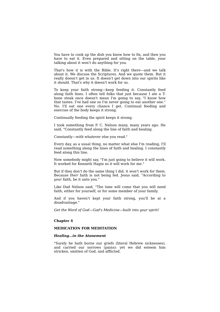You have to cook up the dish you know how to fix, and then you have to eat it. Even prepared and sitting on the table, your talking about it won't do anything for you.

That's how it is with the Bible. It's right there—and we talk about it. We discuss the Scriptures. And we quote them. But it really doesn't get in us. It doesn't get down into our spirits like it should. That's why it doesn't work for us.

To keep your faith strong—keep feeding it. Constantly feed along faith lines. I often tell folks that just because I ate a Tbone steak once doesn't mean I'm going to say, "I know how that tastes. I've had one so I'm never going to eat another one." No. I'll eat one every chance I get. Continual feeding and exercise of the body keeps it strong.

Continually feeding the spirit keeps it strong.

I took something from P. C. Nelson many, many years ago. He said, "Constantly feed along the line of faith and healing.

Constantly—with whatever else you read."

Every day, as a usual thing, no matter what else I'm reading, I'll read something along the lines of faith and healing. I constantly feed along this line.

Now somebody might say, "I'm just going to believe it will work. It worked for Kenneth Hagin so it will work for me."

But if they don't do the same thing I did, it won't work for them. Because *their* faith is not being fed. Jesus said, "According to *your* faith, be it unto you."

Like Dad Nelson said, "The time will come that you will need faith, either for yourself, or for some member of your family.

And if you haven't kept your faith strong, you'll be at a disadvantage."

*Get the Word of God—God's Medicine—built into your spirit!*

# **Chapter 4**

# **MEDICATION FOR MEDITATION**

#### *Healing...in the Atonement*

"Surely he hath borne our griefs (literal Hebrew sicknesses), and carried our sorrows (pains): yet we did esteem him stricken, smitten of God, and afflicted.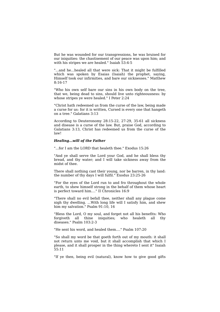But he was wounded for our transgressions, he was bruised for our iniquities: the chastisement of our peace was upon him; and with his stripes we are healed." Isaiah 53:4-5

"...and he...healed all that were sick: That it might be fulfilled which was spoken by Esaias (Isaiah) the prophet, saying, Himself took our infirmities, and bare our sicknesses." Matthew 8:16-17

"Who his own self bare our sins in his own body on the tree, that we, being dead to sins, should live unto righteousness: by whose stripes ye were healed." I Peter 2:24

"Christ hath redeemed us from the curse of the law, being made a curse for us: for it is written, Cursed is every one that hangeth on a tree." Galatians 3:13

According to Deuteronomy 28:15-22, 27-29, 35-61 all sickness and disease is a curse of the law. But, praise God, according to Galatians 3:13, Christ has redeemed us from the curse of the law!

# *Healing...will of the Father*

"...for I am the LORD that healeth thee." Exodus 15:26

"And ye shall serve the Lord your God, and he shall bless thy bread, and thy water; and I will take sickness away from the midst of thee.

There shall nothing cast their young, nor be barren, in thy land: the number of thy days I will fulfil." Exodus 23:25-26

"For the eyes of the Lord run to and fro throughout the whole earth, to shew himself strong in the behalf of them whose heart is perfect toward him...." II Chronicles 16:9

"There shall no evil befall thee, neither shall any plague come nigh thy dwelling. ...With long life will I satisfy him, and shew him my salvation." Psalm 91:10, 16

"Bless the Lord, O my soul, and forget not all his benefits: Who forgiveth all thine iniquities; who healeth all thy diseases." Psalm 103:2-3

"He sent his word, and healed them...." Psalm 107:20

"So shall my word be that goeth forth out of my mouth: it shall not return unto me void, but it shall accomplish that which I please, and it shall prosper in the thing whereto I sent it" Isaiah 55:11

"If ye then, being evil (natural), know how to give good gifts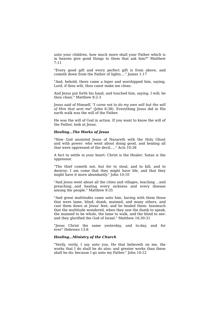unto your children, how much more shall your Father which is in heaven give good things to them that ask him?" Matthew 7:11

"Every good gift and every perfect gift is from above, and cometh down from the Father of lights...." James 1:17

"And, behold, there came a leper and worshipped him, saying, Lord, if thou wilt, thou canst make me clean.

And Jesus put forth his hand, and touched him, saying, I will; be thou clean." Matthew 8:2-3

Jesus said of Himself, *"I came not to do my own will but the will of Him that sent me"* (John 6:38). Everything Jesus did in His earth walk was the will of the Father.

He was the will of God in action. If you want to know the will of the Father, look at Jesus.

# *Healing...The Works of Jesus*

"How God anointed Jesus of Nazareth with the Holy Ghost and with power: who went about doing good, and healing all that were oppressed of the devil;...." Acts 10:38

A fact to settle in your heart: Christ is the Healer; Satan is the oppressor.

"The thief cometh not, but for to steal, and to kill, and to destroy: I am come that they might have life, and that they might have it more abundantly." John 10:10

"And Jesus went about all the cities and villages, teaching ...and preaching...and healing every sickness and every disease among the people." Matthew 9:35

"And great multitudes came unto him, having with them those that were lame, blind, dumb, maimed, and many others, and cast them down at Jesus' feet; and he healed them: Insomuch that the multitude wondered, when they saw the dumb to speak, the maimed to be whole, the lame to walk, and the blind to see: and they glorified the God of Israel." Matthew 16:30-31

"Jesus Christ the same yesterday, and to-day, and for ever" Hebrews 13:8

# *Healing...Ministry of the Church*

"Verily, verily, I say unto you, He that believeth on me, the works that I do shall he do also; and greater works than these shall he do; because I go unto my Father." John 14:12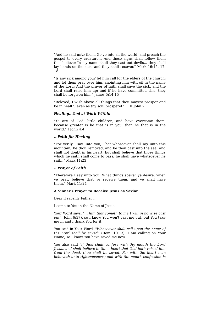"And he said unto them, Go ye into all the world, and preach the gospel to every creature... And these signs shall follow them that believe; In my name shall they cast out devils... they shall lay hands on the sick, and they shall recover." Mark 16:15, 17- 18

"Is any sick among you? let him call for the elders of the church; and let them pray over him, anointing him with oil in the name of the Lord: And the prayer of faith shall save the sick, and the Lord shall raise him up; and if he have committed sins, they shall be forgiven him." James 5:14-15

"Beloved, I wish above all things that thou mayest prosper and be in health, even as thy soul prospereth." III John 2

## *Healing...God at Work Within*

"Ye are of God, little children, and have overcome them: because greater is he that is in you, than he that is in the world." I John 4:4

# *...Faith for Healing*

"For verily I say unto you, That whosoever shall say unto this mountain, Be thou removed, and be thou cast into the sea; and shall not doubt in his heart, but shall believe that those things which he saith shall come to pass; he shall have whatsoever he saith." Mark 11:23

#### *...Prayer of Faith*

"Therefore I say unto you, What things soever ye desire, when ye pray, believe that ye receive them, and ye shall have them." Mark 11:24

#### **A Sinner's Prayer to Receive Jesus as Savior**

Dear Heavenly Father ...

I come to You in the Name of Jesus.

Your Word says, *"... him that cometh to me I will in no wise cast out"* (John 6:37), so I know You won't cast me out, but You take me in and I thank You for it.

You said in Your Word, *"Whosoever shall call upon the name of the Lord shall be saved"* (Rom. 10:13). I am calling on Your Name, so I know You have saved me now.

You also said *"if thou shalt confess with thy mouth the Lord Jesus, and shalt believe in thine heart that God hath raised him from the dead, thou shalt be saved. For with the heart man believeth unto righteousness; and with the mouth confession is*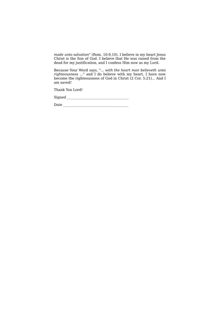*made unto salvation"* (Rom. 10:9,10). I believe in my heart Jesus Christ is the Son of God. I believe that He was raised from the dead for my justification, and I confess Him now as my Lord.

Because Your Word says, *"... with the heart man believeth unto righteousness ..."* and I do believe with my heart, I have now become the righteousness of God in Christ (2 Cor. 5:21)... And I am saved!

Thank You Lord!

 $\begin{minipage}[c]{0.9\linewidth} \hline \text{Signed} \end{minipage} \vspace{0.5em} \begin{minipage}[c]{0.9\linewidth} \hline \text{Signed} \end{minipage} \vspace{0.5em}$ 

 $\text{Date} \xrightarrow{\hspace{15mm} \text{Date}} \xrightarrow{\hspace{15mm} \text{Date}} \xrightarrow{\hspace{15mm} \text{Date}} \xrightarrow{\hspace{15mm} \text{Date}} \xrightarrow{\hspace{15mm} \text{Date}} \xrightarrow{\hspace{15mm} \text{Date}} \xrightarrow{\hspace{15mm} \text{Date}} \xrightarrow{\hspace{15mm} \text{Date}} \xrightarrow{\hspace{15mm} \text{Date}} \xrightarrow{\hspace{15mm} \text{Date}} \xrightarrow{\hspace{15mm} \text{Date}} \xrightarrow{\hspace{15mm} \text{Date}} \xrightarrow{\hspace{15mm} \text{Date}} \xrightarrow{\hspace{$